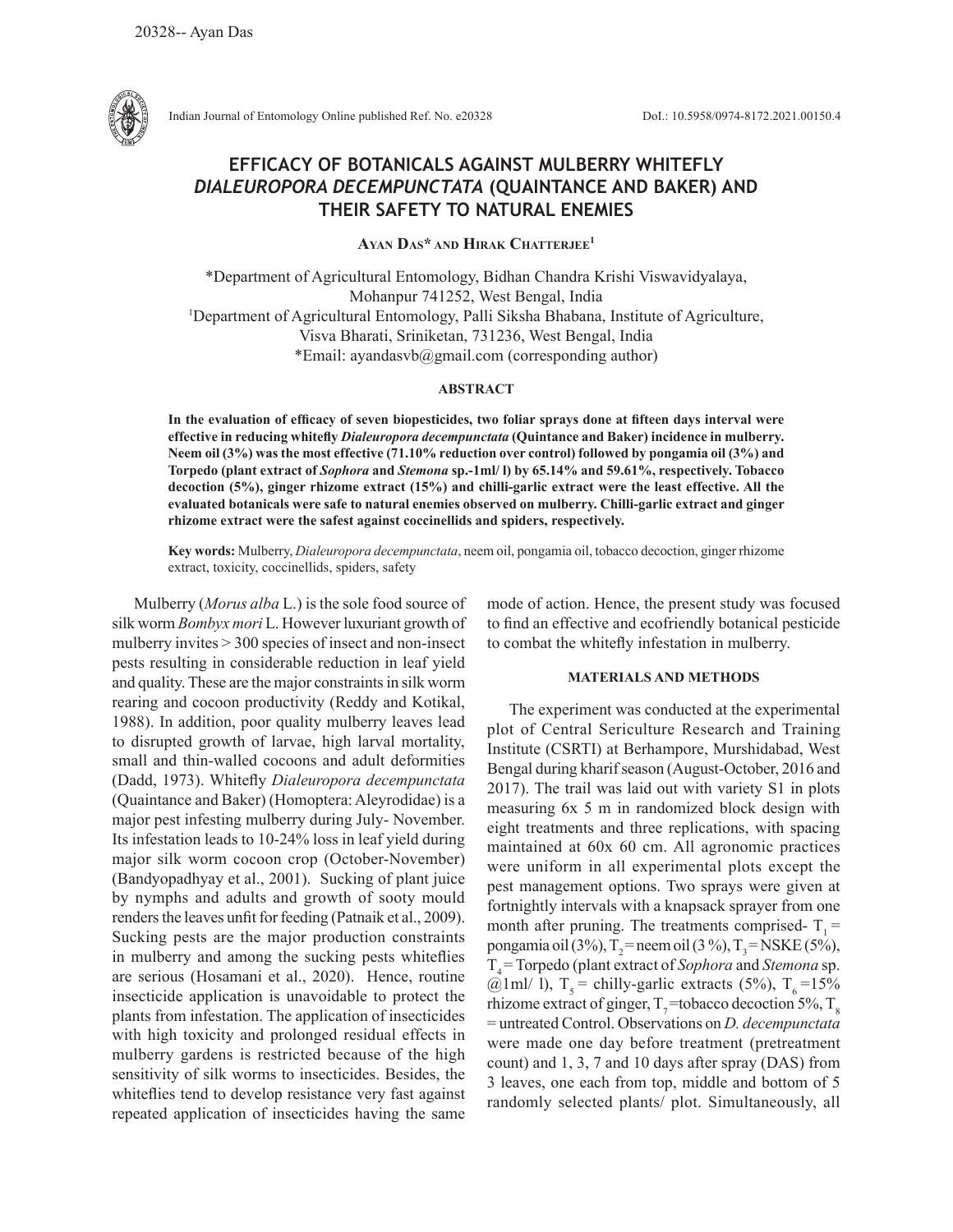

Indian Journal of Entomology Online published Ref. No. e20328 DoI.: 10.5958/0974-8172.2021.00150.4

# **EFFICACY OF BOTANICALS AGAINST MULBERRY WHITEFLY**  *DIALEUROPORA DECEMPUNCTATA* **(QUAINTANCE AND BAKER) AND THEIR SAFETY TO NATURAL ENEMIES**

**Ayan Das\* and Hirak Chatterjee1**

\*Department of Agricultural Entomology, Bidhan Chandra Krishi Viswavidyalaya, Mohanpur 741252, West Bengal, India 1 Department of Agricultural Entomology, Palli Siksha Bhabana, Institute of Agriculture, Visva Bharati, Sriniketan, 731236, West Bengal, India \*Email: ayandasvb@gmail.com (corresponding author)

#### **ABSTRACT**

**In the evaluation of efficacy of seven biopesticides, two foliar sprays done at fifteen days interval were effective in reducing whitefly** *Dialeuropora decempunctata* **(Quintance and Baker) incidence in mulberry. Neem oil (3%) was the most effective (71.10% reduction over control) followed by pongamia oil (3%) and Torpedo (plant extract of** *Sophora* **and** *Stemona* **sp.-1ml/ l) by 65.14% and 59.61%, respectively. Tobacco decoction (5%), ginger rhizome extract (15%) and chilli-garlic extract were the least effective. All the evaluated botanicals were safe to natural enemies observed on mulberry. Chilli-garlic extract and ginger rhizome extract were the safest against coccinellids and spiders, respectively.**

**Key words:** Mulberry, *Dialeuropora decempunctata*, neem oil, pongamia oil, tobacco decoction, ginger rhizome extract, toxicity, coccinellids, spiders, safety

Mulberry (*Morus alba* L.) is the sole food source of silk worm *Bombyx mori* L. However luxuriant growth of mulberry invites > 300 species of insect and non-insect pests resulting in considerable reduction in leaf yield and quality. These are the major constraints in silk worm rearing and cocoon productivity (Reddy and Kotikal, 1988). In addition, poor quality mulberry leaves lead to disrupted growth of larvae, high larval mortality, small and thin-walled cocoons and adult deformities (Dadd, 1973). Whitefly *Dialeuropora decempunctata* (Quaintance and Baker) (Homoptera: Aleyrodidae) is a major pest infesting mulberry during July- November. Its infestation leads to 10-24% loss in leaf yield during major silk worm cocoon crop (October-November) (Bandyopadhyay et al., 2001). Sucking of plant juice by nymphs and adults and growth of sooty mould renders the leaves unfit for feeding (Patnaik et al., 2009). Sucking pests are the major production constraints in mulberry and among the sucking pests whiteflies are serious (Hosamani et al., 2020). Hence, routine insecticide application is unavoidable to protect the plants from infestation. The application of insecticides with high toxicity and prolonged residual effects in mulberry gardens is restricted because of the high sensitivity of silk worms to insecticides. Besides, the whiteflies tend to develop resistance very fast against repeated application of insecticides having the same

mode of action. Hence, the present study was focused to find an effective and ecofriendly botanical pesticide to combat the whitefly infestation in mulberry.

## **MATERIALS AND METHODS**

The experiment was conducted at the experimental plot of Central Sericulture Research and Training Institute (CSRTI) at Berhampore, Murshidabad, West Bengal during kharif season (August-October, 2016 and 2017). The trail was laid out with variety S1 in plots measuring 6x 5 m in randomized block design with eight treatments and three replications, with spacing maintained at 60x 60 cm. All agronomic practices were uniform in all experimental plots except the pest management options. Two sprays were given at fortnightly intervals with a knapsack sprayer from one month after pruning. The treatments comprised-  $T_1$  = pongamia oil (3%),  $T_2$  = neem oil (3%),  $T_3$  = NSKE (5%), T4 = Torpedo (plant extract of *Sophora* and *Stemona* sp. @1ml/ 1),  $T_5$  = chilly-garlic extracts (5%),  $T_6$  =15% rhizome extract of ginger,  $T<sub>7</sub>$ =tobacco decoction 5%,  $T<sub>s</sub>$ = untreated Control. Observations on *D. decempunctata* were made one day before treatment (pretreatment count) and 1, 3, 7 and 10 days after spray (DAS) from 3 leaves, one each from top, middle and bottom of 5 randomly selected plants/ plot. Simultaneously, all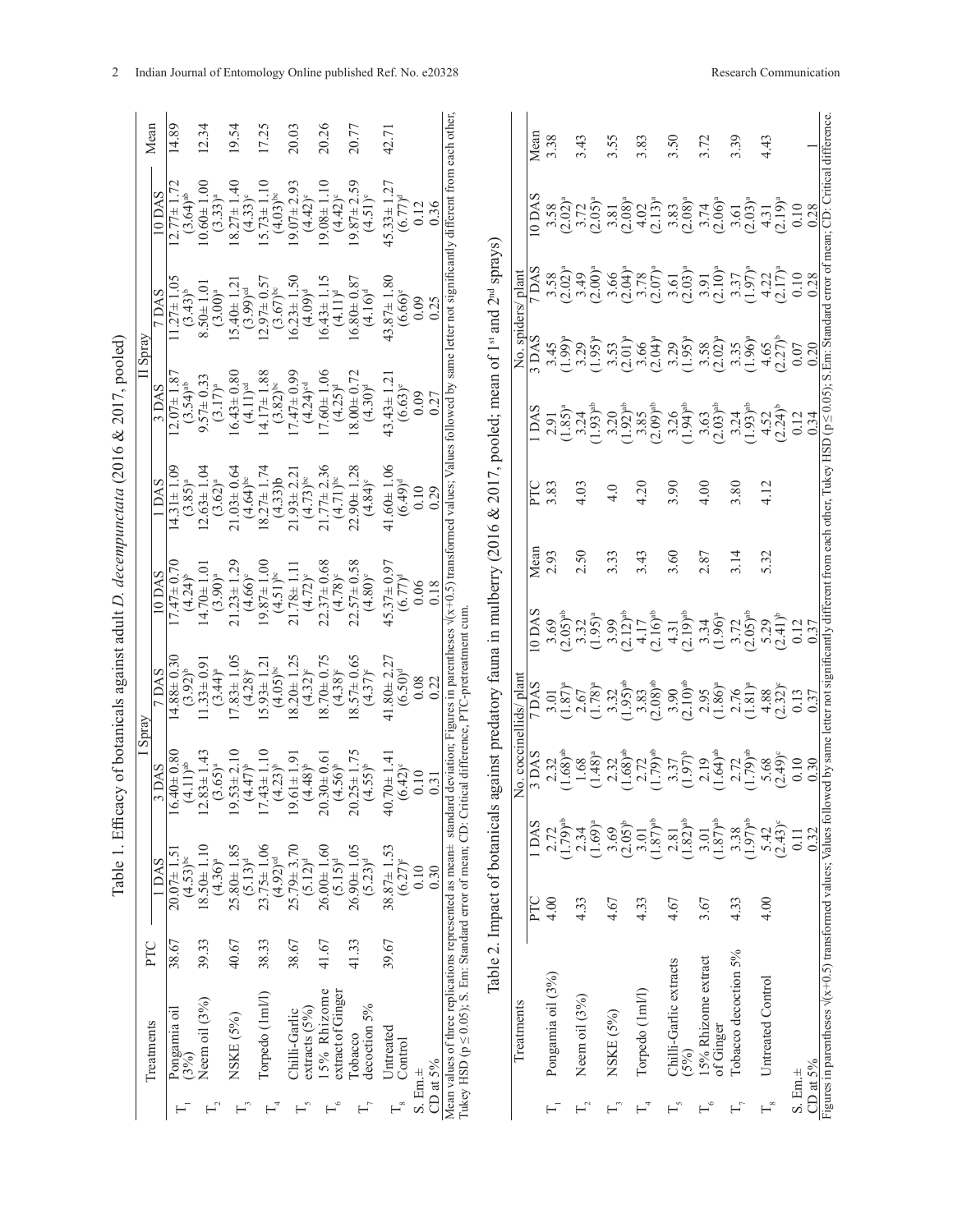|                                       |                                                                                                                                                                                                                                                                                                                        |       |                                            |                                |                                            | Spray                                      |                                |                                           |                                            |                                                                                                               | II Spray                      |                                            |                                            |       |
|---------------------------------------|------------------------------------------------------------------------------------------------------------------------------------------------------------------------------------------------------------------------------------------------------------------------------------------------------------------------|-------|--------------------------------------------|--------------------------------|--------------------------------------------|--------------------------------------------|--------------------------------|-------------------------------------------|--------------------------------------------|---------------------------------------------------------------------------------------------------------------|-------------------------------|--------------------------------------------|--------------------------------------------|-------|
|                                       | <b>Treatments</b>                                                                                                                                                                                                                                                                                                      | PTC   | 1DAS                                       |                                | 3 DAS                                      | 7 DAS                                      |                                | 10 DAS                                    | <b>LDAS</b>                                | 3 DAS                                                                                                         |                               | 7 DAS                                      | $10\,\mathrm{D}$ AS                        | Mean  |
|                                       | Pongamia oil<br>(3%)                                                                                                                                                                                                                                                                                                   | 38.67 | $20.07 \pm 1.5$<br>$(4.53)$ <sup>bc</sup>  |                                | $16.40 \pm 0.80$<br>$(4.11)$ <sup>ab</sup> | $14.88 \pm 0.30$<br>$(3.92)^{b}$           |                                | $17.47 \pm 0.70$<br>$(4.24)^{b}$          | $14.31 \pm 1.09$<br>$(3.85)^{a}$           | $12.07 \pm 1.8$<br>$(3.54)^{ab}$                                                                              |                               | $11.27 \pm 1.05$<br>$(3.43)^{b}$           | $(3.64)$ <sup>ab</sup><br>$12.77 \pm 1$    | 14.89 |
| $\mathbf{r}$                          | Neem oil (3%)                                                                                                                                                                                                                                                                                                          | 39.33 | $18.50 \pm 1.10$<br>$(4.36)^{a}$           | $\Xi$                          | $.83 \pm 1.43$<br>$(3.65)^{a}$             | $11.33 \pm 0.91$<br>$(3.44)^{a}$           |                                | $14.70 \pm 1.01$<br>$(3.90)^{a}$          | $12.63 \pm 1.04$<br>$(3.62)^{a}$           | $9.57 \pm 0.33$<br>$(3.17)^{a}$                                                                               |                               | $8.50 \pm 1.01$<br>$(3.00)^{a}$            | $10.60 \pm 1.00$<br>$(3.33)^{a}$           | 12.34 |
| $\mathbf{I}_3$                        | NSKE (5%)                                                                                                                                                                                                                                                                                                              | 40.67 | $25.80 \pm 1.85$<br>$(5.13)^d$             | $\Xi$                          | $.53 \pm 2.10$<br>$(4.47)^{b}$             | $17.83 \pm 1.05$<br>$(4.28)^{c}$           |                                | $21.23 \pm 1.29$<br>$(4.66)^{c}$          | $21.03 \pm 0.64$<br>$(4.64)$ <sup>bc</sup> | $16.43 \pm 0.80$<br>$(4.11)$ <sup>od</sup>                                                                    |                               | $15.40 \pm 1.2$<br>$(3.99)$ <sup>od</sup>  | $18.27 \pm 1.40$<br>$(4.33)^{c}$           | 9.54  |
| $\mathbf{L}^+$                        | Torpedo (1ml/l)                                                                                                                                                                                                                                                                                                        | 38.33 | $23.75 \pm 1.06$<br>$(4.92)$ <sup>od</sup> | $\overline{a}$                 | $.43 \pm 1.10$<br>$(4.23)^{b}$             | $15.93 \pm 1.21$<br>$(4.05)$ <sup>bc</sup> |                                | $19.87 \pm 1.00$<br>(4.51) <sup>bc</sup>  | $18.27 \pm 1.74$<br>$(4.33)$ <sub>b</sub>  | $14.17 \pm 1.88$<br>$(3.82)^{\rm bc}$                                                                         |                               | $12.97 \pm 0.57$<br>$(3.67)$ <sup>bc</sup> | $15.73 \pm 1.10$<br>$(4.03)$ <sup>bc</sup> | 17.25 |
| ς,                                    | extracts (5%)<br>Chilli-Garlic                                                                                                                                                                                                                                                                                         | 38.67 | $25.79 \pm 3.70$<br>$(5.12)^d$             | $\Xi$                          | $.61 \pm 1.91$<br>$(4.48)^{b}$             | $18.20 \pm 1.25$<br>$(4.32)^{c}$           |                                | $21.78 \pm 1.11$<br>$(4.72)^{c}$          | $21.93 \pm 2.21$<br>$(4.73)$ <sup>bc</sup> | $17.47 \pm 0.99$<br>$(4.24)$ <sup>od</sup>                                                                    |                               | .50<br>$(4.09)^d$<br>$16.23 \pm 1$         | $19.07 \pm 2.93$<br>$(4.42)^{c}$           | 20.03 |
| -″                                    | 15% Rhizome<br>extract of Ginger                                                                                                                                                                                                                                                                                       | 41.67 | $26.00 \pm 1.60$<br>$(5.15)^d$             | $\approx$                      | $.30 + 0.61$<br>$(4.56)^{b}$               | $18.70 \pm 0.75$<br>$(4.38)^{\circ}$       |                                | $22.37 \pm 0.68$<br>$(4.78)^{c}$          | $21.77 \pm 2.36$<br>$(4.71)$ <sup>bc</sup> | $17.60 \pm 1.06$<br>$(4.25)^d$                                                                                |                               | $16.43 \pm 1.15$<br>$(4.11)^d$             | $19.08 \pm 1.10$<br>$(4.42)^{c}$           | 20.26 |
| $\mathbf{L}$                          | decoction 5%<br>Tobacco                                                                                                                                                                                                                                                                                                | 41.33 | $26.90 \pm 1.05$<br>$(5.23)^d$             | $\overline{\Omega}$            | $(4.55)^{b}$                               | $18.57 \pm 0.65$<br>$(4.37)^{c}$           |                                | $22.57 \pm 0.58$<br>$(4.80)^{c}$          | $22.90 \pm 1.28$<br>$(4.84)^{c}$           | $18.00 \pm 0.72$<br>$(4.30)^d$                                                                                |                               | $16.80 \pm 0.87$<br>$(4.16)^d$             | $19.87 \pm 2.59$<br>$(4.51)^{o}$           | 20.77 |
| $\mathrel{\sqsubset^\circ}$           | Untreated<br>Control                                                                                                                                                                                                                                                                                                   | 39.67 | $38.87 \pm 1.53$<br>$(6.27)^{e}$           | $\triangleq$                   | $70 \pm 1.41$<br>$(6.42)^{c}$              | $41.80 \pm 2.27$<br>$(6.50)^d$             |                                | $45.37 \pm 0.97$<br>$(6.77)$ <sup>d</sup> | $.60 \pm 1.06$<br>$(6.49)^d$               | $43.43 \pm 1.21$<br>$(6.63)^{e}$                                                                              |                               | $43.87 \pm 1.80$<br>$(6.66)$ <sup>e</sup>  | $45.33 \pm 1.27$<br>$(6.77)^d$             | 42.71 |
| CD at 5%<br>S. Em.±                   |                                                                                                                                                                                                                                                                                                                        |       | 0.10<br>0.30                               |                                | 0.10<br>0.31                               | 0.08<br>0.22                               |                                | 0.06<br>0.18                              | 0.10<br>0.29                               | 0.09<br>0.27                                                                                                  |                               | 0.09<br>0.25                               | 0.36<br>0.12                               |       |
|                                       | Mean values of three replications represented as mean± standard deviation; Figures in parentheses v(x+0.5) transformed values; Values followed by same letter not significantly different from each other.<br>Tukey HSD ( $p \le 0.05$ ); S. Em: Standard error of mean; CD: Critical difference, PTC-pretreatment cum |       | Table 2. Impact of botanicals              |                                |                                            |                                            |                                |                                           |                                            | against predatory fauna in mulberry (2016 & 2017, pooled; mean of 1 <sup>st</sup> and 2 <sup>nd</sup> sprays) |                               |                                            |                                            |       |
|                                       | Treatments                                                                                                                                                                                                                                                                                                             |       |                                            |                                | No. coccinel                               | ids/ plan                                  |                                |                                           |                                            |                                                                                                               | No. spide                     | plant                                      |                                            |       |
|                                       |                                                                                                                                                                                                                                                                                                                        |       | PTC                                        | <b>LDAS</b>                    | 3 DAS                                      | DAS <sup>'</sup>                           | $0$ DAS                        | Mean                                      | <b>DLG</b>                                 | <b>LDAS</b>                                                                                                   | 3 DAS                         | 7 DAS                                      | $0$ DAS                                    | Mean  |
|                                       | Pongamia oil (3%)                                                                                                                                                                                                                                                                                                      |       | 4.00                                       | $(1.79)^{ab}$                  | $(1.68)^{ab}$<br>2.32                      | $(1.87)^{a}$<br>3.01                       | $3.69$<br>$(2.05)^{ab}$        | 2.93                                      | 3.83                                       | $(1.85)^{a}$<br>2.91                                                                                          | $(1.99)^{a}$<br>3.45          | $3.58$<br>(2.02) <sup>a</sup>              | $3.58$<br>$(2.02)^a$                       | 3.38  |
| $\mathrel{\sqsubset}$                 | Neem oil (3%)                                                                                                                                                                                                                                                                                                          |       | 4.33                                       | $(1.69)^{a}$<br>2.34           | $1.68$<br>(1.48) <sup>a</sup>              | $(1.78)^a$<br>2.67                         | $3.32$<br>(1.95) <sup>a</sup>  | 2.50                                      | 4.03                                       | $(1.93)$ <sup>ab</sup><br>3.24                                                                                | $3.29$<br>(1.95) <sup>a</sup> | $3.49$<br>$(2.00)$ <sup>a</sup>            | (2.05)                                     | 3.43  |
| $\mathbb{H}^3$                        | NSKE (5%)                                                                                                                                                                                                                                                                                                              |       | 4.67                                       | $(2.05)^{b}$<br>3.69           | $(1.68)^{ab}$                              | $(1.95)$ <sup>ab</sup><br>3.32             | $(2.12)$ <sup>ab</sup><br>3.99 | 3.33                                      | 4.0                                        | $(1.92)^{ab}$<br>3.20                                                                                         | $(2.01)^a$                    | $3.66$<br>(2.04) <sup>a</sup>              | $(2.08)^{a}$<br>3.81                       | 3.55  |
| $\mathbb{H}^+$                        | Torpedo (1ml/l)                                                                                                                                                                                                                                                                                                        |       | 4.33                                       | $(1.87)$ <sup>ab</sup><br>3.01 | $(1.79)^{ab}$                              | $(2.08)$ <sup>ab</sup><br>3.83             | $(2.16)^{ab}$                  | 3.43                                      | 4.20                                       | $(2.09)^{ab}$                                                                                                 | $3.66$<br>(2.04) <sup>a</sup> | $(2.07)^{4}$                               | (2.13)<br>4.02                             | 3.83  |
| $\mathrel{\sqsubset^\circ}$           | Chilli-Garlic extracts<br>$(5\%)$                                                                                                                                                                                                                                                                                      |       | 4.67                                       | $(1.82)^{ab}$<br>2.81          | $(1.97)^{b}$                               | $(2.10)^{ab}$<br>3.90                      | $(2.19)$ <sup>ab</sup>         | 3.60                                      | 3.90                                       | $3.26$<br>(1.94) <sup>ab</sup>                                                                                | $(1.95)^a$<br>3.29            | $3.61$<br>$(2.03)^a$                       | $(2.08)^{a}$<br>3.83                       | 3.50  |
| $\frac{1}{6}$                         | 15% Rhizome extract<br>of Ginger                                                                                                                                                                                                                                                                                       |       | 3.67                                       | $(1.87)$ <sup>ab</sup><br>3.01 | $2.19$<br>(1.64) <sup>ab</sup>             | $2.95$<br>(1.86) <sup>a</sup>              | $3.34$<br>(1.96) <sup>a</sup>  | 2.87                                      | 4.00                                       | $(2.03)^{ab}$                                                                                                 | $3.58$<br>$(2.02)^{4}$        | $3.91$<br>$(2.10)^a$                       | $(2.06)^{a}$<br>3.74                       | 3.72  |
| $\Gamma_{\!\scriptscriptstyle\gamma}$ | Tobacco decoction 5%                                                                                                                                                                                                                                                                                                   |       | 4.33                                       | $(1.97)$ <sup>ab</sup><br>3.38 | $2.72$<br>$(1.79)^{ab}$                    | $\frac{2.76}{(1.81)^a}$                    | $3.72$<br>$(2.05)^{ab}$        | 3.14                                      | 3.80                                       | $(1.93)^{ab}$                                                                                                 | $(1.96)^{a}$<br>3.35          | $3.37$<br>(1.97) <sup>a</sup>              | $(2.03)^{a}$<br>3.61                       | 3.39  |
| $\mathrel{\sqsubset^\circ}$           | Untreated Control                                                                                                                                                                                                                                                                                                      |       | 4.00                                       | $(2.43)^{c}$<br>5.42           | $5.68$<br>$(2.49)^e$                       | $\frac{4.88}{(2.32)^6}$                    | $(2.41)^{b}$<br>5.29           | 5.32                                      | 4.12                                       | $\frac{4.52}{(2.24)^b}$                                                                                       | $\frac{4.65}{(2.27)^b}$       | $(2.17)^{a}$<br>4.22                       | $(2.19)^{a}$<br>4.31                       | 4.43  |
| $S.$ Em. $\pm$                        |                                                                                                                                                                                                                                                                                                                        |       |                                            | 0.11                           | 0.10                                       | 0.13                                       | 0.12                           |                                           |                                            | 0.12                                                                                                          | 0.07                          | 0.10                                       | 0.10                                       |       |
| CD at 5%                              |                                                                                                                                                                                                                                                                                                                        |       |                                            | 0.32                           | 0.30                                       | 0.37                                       | 0.37                           |                                           |                                            | 0.34                                                                                                          | 0.20                          | 0.28                                       | 0.28                                       |       |
|                                       | Figures in parentheses $\sqrt{(x+0.5)}$ transformed values; Values followed by same letter not significantly different from each other, Tukey HSD (p $\leq$ 0.05); S. Em: Standard error of mean; CD: Critical difference                                                                                              |       |                                            |                                |                                            |                                            |                                |                                           |                                            |                                                                                                               |                               |                                            |                                            |       |